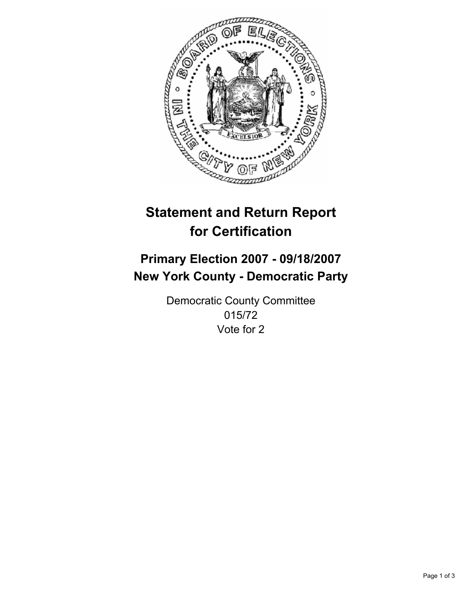

# **Statement and Return Report for Certification**

# **Primary Election 2007 - 09/18/2007 New York County - Democratic Party**

Democratic County Committee 015/72 Vote for 2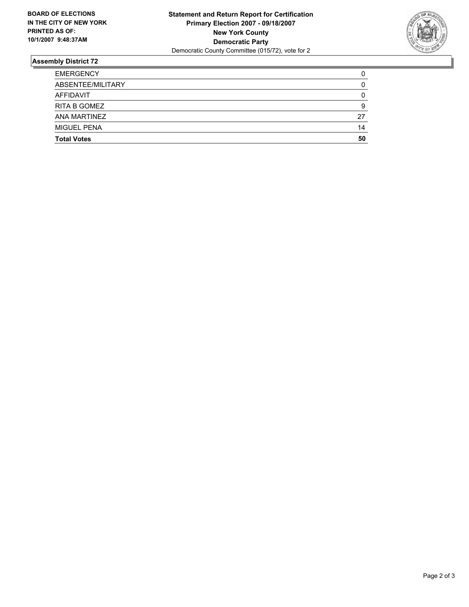

## **Assembly District 72**

| <b>EMERGENCY</b>    |    |
|---------------------|----|
| ABSENTEE/MILITARY   |    |
| AFFIDAVIT           |    |
| <b>RITA B GOMEZ</b> |    |
| <b>ANA MARTINEZ</b> | 27 |
| <b>MIGUEL PENA</b>  | 14 |
| <b>Total Votes</b>  | 50 |